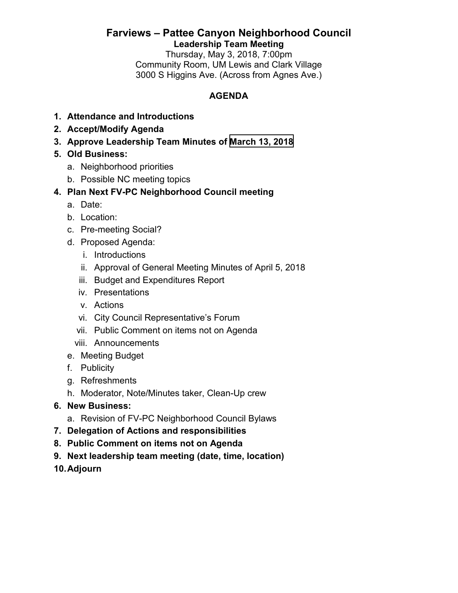## **Farviews – Pattee Canyon Neighborhood Council Leadership Team Meeting**

Thursday, May 3, 2018, 7:00pm Community Room, UM Lewis and Clark Village 3000 S Higgins Ave. (Across from Agnes Ave.)

### **AGENDA**

- **1. Attendance and Introductions**
- **2. Accept/Modify Agenda**
- **3. Approve Leadership Team Minutes of [March 13, 2018](http://www.ci.missoula.mt.us/ArchiveCenter/ViewFile/Item/12516)**
- **5. Old Business:**
	- a. Neighborhood priorities
	- b. Possible NC meeting topics

# **4. Plan Next FV-PC Neighborhood Council meeting**

- a. Date:
- b. Location:
- c. Pre-meeting Social?
- d. Proposed Agenda:
	- i. Introductions
	- ii. Approval of General Meeting Minutes of April 5, 2018
	- iii. Budget and Expenditures Report
	- iv. Presentations
	- v. Actions
	- vi. City Council Representative's Forum
	- vii. Public Comment on items not on Agenda
	- viii. Announcements
- e. Meeting Budget
- f. Publicity
- g. Refreshments
- h. Moderator, Note/Minutes taker, Clean-Up crew
- **6. New Business:**
	- a. Revision of FV-PC Neighborhood Council Bylaws
- **7. Delegation of Actions and responsibilities**
- **8. Public Comment on items not on Agenda**
- **9. Next leadership team meeting (date, time, location)**
- **10. Adjourn**